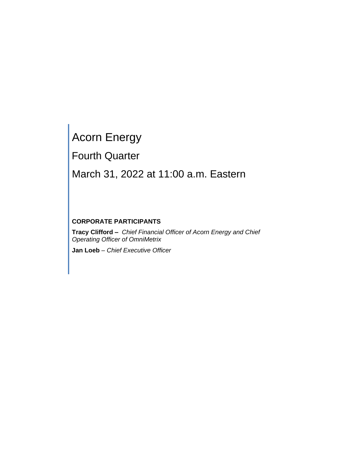# Acorn Energy

Fourth Quarter

# March 31, 2022 at 11:00 a.m. Eastern

# **CORPORATE PARTICIPANTS**

**Tracy Clifford –** *Chief Financial Officer of Acorn Energy and Chief Operating Officer of OmniMetrix*

**Jan Loeb** *– Chief Executive Officer*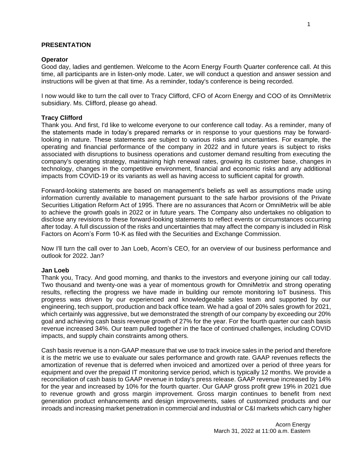# **PRESENTATION**

# **Operator**

Good day, ladies and gentlemen. Welcome to the Acorn Energy Fourth Quarter conference call. At this time, all participants are in listen-only mode. Later, we will conduct a question and answer session and instructions will be given at that time. As a reminder, today's conference is being recorded.

I now would like to turn the call over to Tracy Clifford, CFO of Acorn Energy and COO of its OmniMetrix subsidiary. Ms. Clifford, please go ahead.

# **Tracy Clifford**

Thank you. And first, I'd like to welcome everyone to our conference call today. As a reminder, many of the statements made in today's prepared remarks or in response to your questions may be forwardlooking in nature. These statements are subject to various risks and uncertainties. For example, the operating and financial performance of the company in 2022 and in future years is subject to risks associated with disruptions to business operations and customer demand resulting from executing the company's operating strategy, maintaining high renewal rates, growing its customer base, changes in technology, changes in the competitive environment, financial and economic risks and any additional impacts from COVID-19 or its variants as well as having access to sufficient capital for growth.

Forward-looking statements are based on management's beliefs as well as assumptions made using information currently available to management pursuant to the safe harbor provisions of the Private Securities Litigation Reform Act of 1995. There are no assurances that Acorn or OmniMetrix will be able to achieve the growth goals in 2022 or in future years. The Company also undertakes no obligation to disclose any revisions to these forward-looking statements to reflect events or circumstances occurring after today. A full discussion of the risks and uncertainties that may affect the company is included in Risk Factors on Acorn's Form 10-K as filed with the Securities and Exchange Commission.

Now I'll turn the call over to Jan Loeb, Acorn's CEO, for an overview of our business performance and outlook for 2022. Jan?

# **Jan Loeb**

Thank you, Tracy. And good morning, and thanks to the investors and everyone joining our call today. Two thousand and twenty-one was a year of momentous growth for OmniMetrix and strong operating results, reflecting the progress we have made in building our remote monitoring IoT business. This progress was driven by our experienced and knowledgeable sales team and supported by our engineering, tech support, production and back office team. We had a goal of 20% sales growth for 2021, which certainly was aggressive, but we demonstrated the strength of our company by exceeding our 20% goal and achieving cash basis revenue growth of 27% for the year. For the fourth quarter our cash basis revenue increased 34%. Our team pulled together in the face of continued challenges, including COVID impacts, and supply chain constraints among others.

Cash basis revenue is a non-GAAP measure that we use to track invoice sales in the period and therefore it is the metric we use to evaluate our sales performance and growth rate. GAAP revenues reflects the amortization of revenue that is deferred when invoiced and amortized over a period of three years for equipment and over the prepaid IT monitoring service period, which is typically 12 months. We provide a reconciliation of cash basis to GAAP revenue in today's press release. GAAP revenue increased by 14% for the year and increased by 10% for the fourth quarter. Our GAAP gross profit grew 19% in 2021 due to revenue growth and gross margin improvement. Gross margin continues to benefit from next generation product enhancements and design improvements, sales of customized products and our inroads and increasing market penetration in commercial and industrial or C&I markets which carry higher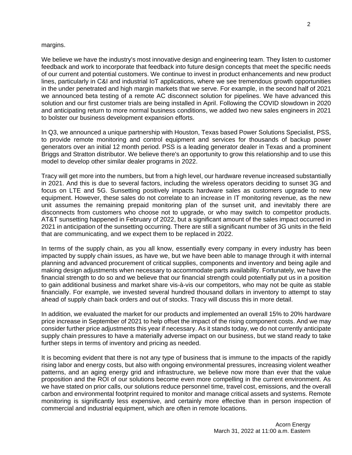#### margins.

We believe we have the industry's most innovative design and engineering team. They listen to customer feedback and work to incorporate that feedback into future design concepts that meet the specific needs of our current and potential customers. We continue to invest in product enhancements and new product lines, particularly in C&I and industrial IoT applications, where we see tremendous growth opportunities in the under penetrated and high margin markets that we serve. For example, in the second half of 2021 we announced beta testing of a remote AC disconnect solution for pipelines. We have advanced this solution and our first customer trials are being installed in April. Following the COVID slowdown in 2020 and anticipating return to more normal business conditions, we added two new sales engineers in 2021 to bolster our business development expansion efforts.

In Q3, we announced a unique partnership with Houston, Texas based Power Solutions Specialist, PSS, to provide remote monitoring and control equipment and services for thousands of backup power generators over an initial 12 month period. PSS is a leading generator dealer in Texas and a prominent Briggs and Stratton distributor. We believe there's an opportunity to grow this relationship and to use this model to develop other similar dealer programs in 2022.

Tracy will get more into the numbers, but from a high level, our hardware revenue increased substantially in 2021. And this is due to several factors, including the wireless operators deciding to sunset 3G and focus on LTE and 5G. Sunsetting positively impacts hardware sales as customers upgrade to new equipment. However, these sales do not correlate to an increase in IT monitoring revenue, as the new unit assumes the remaining prepaid monitoring plan of the sunset unit, and inevitably there are disconnects from customers who choose not to upgrade, or who may switch to competitor products. AT&T sunsetting happened in February of 2022, but a significant amount of the sales impact occurred in 2021 in anticipation of the sunsetting occurring. There are still a significant number of 3G units in the field that are communicating, and we expect them to be replaced in 2022.

In terms of the supply chain, as you all know, essentially every company in every industry has been impacted by supply chain issues, as have we, but we have been able to manage through it with internal planning and advanced procurement of critical supplies, components and inventory and being agile and making design adjustments when necessary to accommodate parts availability. Fortunately, we have the financial strength to do so and we believe that our financial strength could potentially put us in a position to gain additional business and market share vis-à-vis our competitors, who may not be quite as stable financially. For example, we invested several hundred thousand dollars in inventory to attempt to stay ahead of supply chain back orders and out of stocks. Tracy will discuss this in more detail.

In addition, we evaluated the market for our products and implemented an overall 15% to 20% hardware price increase in September of 2021 to help offset the impact of the rising component costs. And we may consider further price adjustments this year if necessary. As it stands today, we do not currently anticipate supply chain pressures to have a materially adverse impact on our business, but we stand ready to take further steps in terms of inventory and pricing as needed.

It is becoming evident that there is not any type of business that is immune to the impacts of the rapidly rising labor and energy costs, but also with ongoing environmental pressures, increasing violent weather patterns, and an aging energy grid and infrastructure, we believe now more than ever that the value proposition and the ROI of our solutions become even more compelling in the current environment. As we have stated on prior calls, our solutions reduce personnel time, travel cost, emissions, and the overall carbon and environmental footprint required to monitor and manage critical assets and systems. Remote monitoring is significantly less expensive, and certainly more effective than in person inspection of commercial and industrial equipment, which are often in remote locations.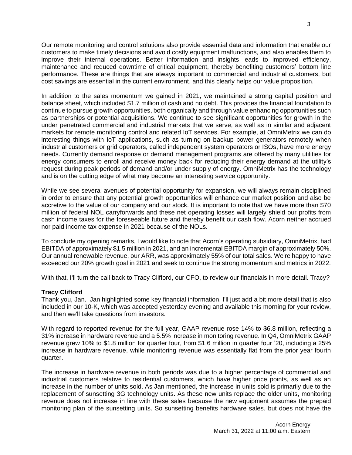Our remote monitoring and control solutions also provide essential data and information that enable our customers to make timely decisions and avoid costly equipment malfunctions, and also enables them to improve their internal operations. Better information and insights leads to improved efficiency, maintenance and reduced downtime of critical equipment, thereby benefiting customers' bottom line performance. These are things that are always important to commercial and industrial customers, but cost savings are essential in the current environment, and this clearly helps our value proposition.

In addition to the sales momentum we gained in 2021, we maintained a strong capital position and balance sheet, which included \$1.7 million of cash and no debt. This provides the financial foundation to continue to pursue growth opportunities, both organically and through value enhancing opportunities such as partnerships or potential acquisitions. We continue to see significant opportunities for growth in the under penetrated commercial and industrial markets that we serve, as well as in similar and adjacent markets for remote monitoring control and related IoT services. For example, at OmniMetrix we can do interesting things with IoT applications, such as turning on backup power generators remotely when industrial customers or grid operators, called independent system operators or ISOs, have more energy needs. Currently demand response or demand management programs are offered by many utilities for energy consumers to enroll and receive money back for reducing their energy demand at the utility's request during peak periods of demand and/or under supply of energy. OmniMetrix has the technology and is on the cutting edge of what may become an interesting service opportunity.

While we see several avenues of potential opportunity for expansion, we will always remain disciplined in order to ensure that any potential growth opportunities will enhance our market position and also be accretive to the value of our company and our stock. It is important to note that we have more than \$70 million of federal NOL carryforwards and these net operating losses will largely shield our profits from cash income taxes for the foreseeable future and thereby benefit our cash flow. Acorn neither accrued nor paid income tax expense in 2021 because of the NOLs.

To conclude my opening remarks, I would like to note that Acorn's operating subsidiary, OmniMetrix, had EBITDA of approximately \$1.5 million in 2021, and an incremental EBITDA margin of approximately 50%. Our annual renewable revenue, our ARR, was approximately 55% of our total sales. We're happy to have exceeded our 20% growth goal in 2021 and seek to continue the strong momentum and metrics in 2022.

With that, I'll turn the call back to Tracy Clifford, our CFO, to review our financials in more detail. Tracy?

# **Tracy Clifford**

Thank you, Jan. Jan highlighted some key financial information. I'll just add a bit more detail that is also included in our 10-K, which was accepted yesterday evening and available this morning for your review, and then we'll take questions from investors.

With regard to reported revenue for the full year, GAAP revenue rose 14% to \$6.8 million, reflecting a 31% increase in hardware revenue and a 5.5% increase in monitoring revenue. In Q4, OmniMetrix GAAP revenue grew 10% to \$1.8 million for quarter four, from \$1.6 million in quarter four '20, including a 25% increase in hardware revenue, while monitoring revenue was essentially flat from the prior year fourth quarter.

The increase in hardware revenue in both periods was due to a higher percentage of commercial and industrial customers relative to residential customers, which have higher price points, as well as an increase in the number of units sold. As Jan mentioned, the increase in units sold is primarily due to the replacement of sunsetting 3G technology units. As these new units replace the older units, monitoring revenue does not increase in line with these sales because the new equipment assumes the prepaid monitoring plan of the sunsetting units. So sunsetting benefits hardware sales, but does not have the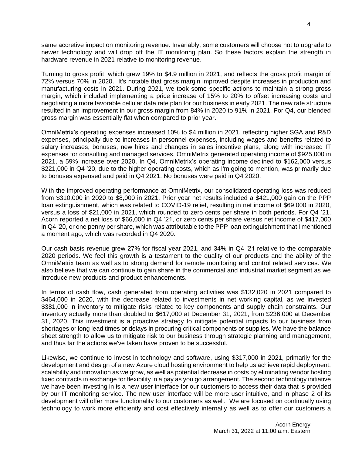same accretive impact on monitoring revenue. Invariably, some customers will choose not to upgrade to newer technology and will drop off the IT monitoring plan. So these factors explain the strength in hardware revenue in 2021 relative to monitoring revenue.

Turning to gross profit, which grew 19% to \$4.9 million in 2021, and reflects the gross profit margin of 72% versus 70% in 2020. It's notable that gross margin improved despite increases in production and manufacturing costs in 2021. During 2021, we took some specific actions to maintain a strong gross margin, which included implementing a price increase of 15% to 20% to offset increasing costs and negotiating a more favorable cellular data rate plan for our business in early 2021. The new rate structure resulted in an improvement in our gross margin from 84% in 2020 to 91% in 2021. For Q4, our blended gross margin was essentially flat when compared to prior year.

OmniMetrix's operating expenses increased 10% to \$4 million in 2021, reflecting higher SGA and R&D expenses, principally due to increases in personnel expenses, including wages and benefits related to salary increases, bonuses, new hires and changes in sales incentive plans, along with increased IT expenses for consulting and managed services. OmniMetrix generated operating income of \$925,000 in 2021, a 59% increase over 2020. In Q4, OmniMetrix's operating income declined to \$162,000 versus \$221,000 in Q4 '20, due to the higher operating costs, which as I'm going to mention, was primarily due to bonuses expensed and paid in Q4 2021. No bonuses were paid in Q4 2020.

With the improved operating performance at OmniMetrix, our consolidated operating loss was reduced from \$310,000 in 2020 to \$8,000 in 2021. Prior year net results included a \$421,000 gain on the PPP loan extinguishment, which was related to COVID-19 relief, resulting in net income of \$69,000 in 2020, versus a loss of \$21,000 in 2021, which rounded to zero cents per share in both periods. For Q4 '21. Acorn reported a net loss of \$66,000 in Q4 '21, or zero cents per share versus net income of \$417,000 in Q4 '20, or one penny per share, which was attributable to the PPP loan extinguishment that I mentioned a moment ago, which was recorded in Q4 2020.

Our cash basis revenue grew 27% for fiscal year 2021, and 34% in Q4 '21 relative to the comparable 2020 periods. We feel this growth is a testament to the quality of our products and the ability of the OmniMetrix team as well as to strong demand for remote monitoring and control related services. We also believe that we can continue to gain share in the commercial and industrial market segment as we introduce new products and product enhancements.

In terms of cash flow, cash generated from operating activities was \$132,020 in 2021 compared to \$464,000 in 2020, with the decrease related to investments in net working capital, as we invested \$381,000 in inventory to mitigate risks related to key components and supply chain constraints. Our inventory actually more than doubled to \$617,000 at December 31, 2021, from \$236,000 at December 31, 2020. This investment is a proactive strategy to mitigate potential impacts to our business from shortages or long lead times or delays in procuring critical components or supplies. We have the balance sheet strength to allow us to mitigate risk to our business through strategic planning and management, and thus far the actions we've taken have proven to be successful.

Likewise, we continue to invest in technology and software, using \$317,000 in 2021, primarily for the development and design of a new Azure cloud hosting environment to help us achieve rapid deployment, scalability and innovation as we grow, as well as potential decrease in costs by eliminating vendor hosting fixed contracts in exchange for flexibility in a pay as you go arrangement. The second technology initiative we have been investing in is a new user interface for our customers to access their data that is provided by our IT monitoring service. The new user interface will be more user intuitive, and in phase 2 of its development will offer more functionality to our customers as well. We are focused on continually using technology to work more efficiently and cost effectively internally as well as to offer our customers a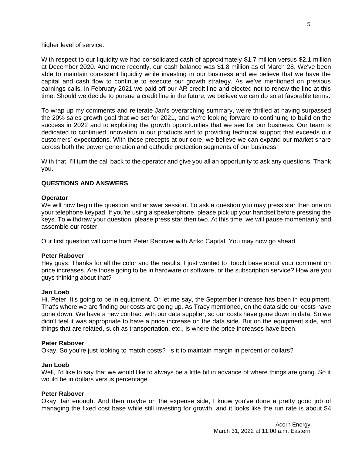higher level of service.

With respect to our liquidity we had consolidated cash of approximately \$1.7 million versus \$2.1 million at December 2020. And more recently, our cash balance was \$1.8 million as of March 28. We've been able to maintain consistent liquidity while investing in our business and we believe that we have the capital and cash flow to continue to execute our growth strategy. As we've mentioned on previous earnings calls, in February 2021 we paid off our AR credit line and elected not to renew the line at this time. Should we decide to pursue a credit line in the future, we believe we can do so at favorable terms.

To wrap up my comments and reiterate Jan's overarching summary, we're thrilled at having surpassed the 20% sales growth goal that we set for 2021, and we're looking forward to continuing to build on the success in 2022 and to exploiting the growth opportunities that we see for our business. Our team is dedicated to continued innovation in our products and to providing technical support that exceeds our customers' expectations. With those precepts at our core, we believe we can expand our market share across both the power generation and cathodic protection segments of our business.

With that, I'll turn the call back to the operator and give you all an opportunity to ask any questions. Thank you.

# **QUESTIONS AND ANSWERS**

# **Operator**

We will now begin the question and answer session. To ask a question you may press star then one on your telephone keypad. If you're using a speakerphone, please pick up your handset before pressing the keys. To withdraw your question, please press star then two. At this time, we will pause momentarily and assemble our roster.

Our first question will come from Peter Rabover with Artko Capital. You may now go ahead.

# **Peter Rabover**

Hey guys. Thanks for all the color and the results. I just wanted to touch base about your comment on price increases. Are those going to be in hardware or software, or the subscription service? How are you guys thinking about that?

#### **Jan Loeb**

Hi, Peter. It's going to be in equipment. Or let me say, the September increase has been in equipment. That's where we are finding our costs are going up. As Tracy mentioned, on the data side our costs have gone down. We have a new contract with our data supplier, so our costs have gone down in data. So we didn't feel it was appropriate to have a price increase on the data side. But on the equipment side, and things that are related, such as transportation, etc., is where the price increases have been.

#### **Peter Rabover**

Okay. So you're just looking to match costs? Is it to maintain margin in percent or dollars?

#### **Jan Loeb**

Well, I'd like to say that we would like to always be a little bit in advance of where things are going. So it would be in dollars versus percentage.

# **Peter Rabover**

Okay, fair enough. And then maybe on the expense side, I know you've done a pretty good job of managing the fixed cost base while still investing for growth, and it looks like the run rate is about \$4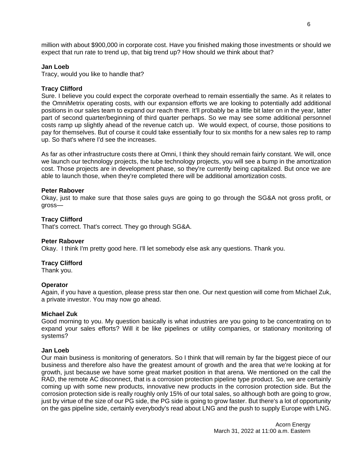million with about \$900,000 in corporate cost. Have you finished making those investments or should we expect that run rate to trend up, that big trend up? How should we think about that?

#### **Jan Loeb**

Tracy, would you like to handle that?

#### **Tracy Clifford**

Sure. I believe you could expect the corporate overhead to remain essentially the same. As it relates to the OmniMetrix operating costs, with our expansion efforts we are looking to potentially add additional positions in our sales team to expand our reach there. It'll probably be a little bit later on in the year, latter part of second quarter/beginning of third quarter perhaps. So we may see some additional personnel costs ramp up slightly ahead of the revenue catch up. We would expect, of course, those positions to pay for themselves. But of course it could take essentially four to six months for a new sales rep to ramp up. So that's where I'd see the increases.

As far as other infrastructure costs there at Omni, I think they should remain fairly constant. We will, once we launch our technology projects, the tube technology projects, you will see a bump in the amortization cost. Those projects are in development phase, so they're currently being capitalized. But once we are able to launch those, when they're completed there will be additional amortization costs.

# **Peter Rabover**

Okay, just to make sure that those sales guys are going to go through the SG&A not gross profit, or gross—

#### **Tracy Clifford**

That's correct. That's correct. They go through SG&A.

#### **Peter Rabover**

Okay. I think I'm pretty good here. I'll let somebody else ask any questions. Thank you.

# **Tracy Clifford**

Thank you.

#### **Operator**

Again, if you have a question, please press star then one. Our next question will come from Michael Zuk, a private investor. You may now go ahead.

#### **Michael Zuk**

Good morning to you. My question basically is what industries are you going to be concentrating on to expand your sales efforts? Will it be like pipelines or utility companies, or stationary monitoring of systems?

#### **Jan Loeb**

Our main business is monitoring of generators. So I think that will remain by far the biggest piece of our business and therefore also have the greatest amount of growth and the area that we're looking at for growth, just because we have some great market position in that arena. We mentioned on the call the RAD, the remote AC disconnect, that is a corrosion protection pipeline type product. So, we are certainly coming up with some new products, innovative new products in the corrosion protection side. But the corrosion protection side is really roughly only 15% of our total sales, so although both are going to grow, just by virtue of the size of our PG side, the PG side is going to grow faster. But there's a lot of opportunity on the gas pipeline side, certainly everybody's read about LNG and the push to supply Europe with LNG.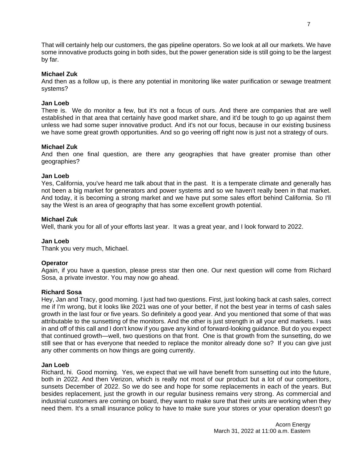That will certainly help our customers, the gas pipeline operators. So we look at all our markets. We have some innovative products going in both sides, but the power generation side is still going to be the largest by far.

# **Michael Zuk**

And then as a follow up, is there any potential in monitoring like water purification or sewage treatment systems?

# **Jan Loeb**

There is. We do monitor a few, but it's not a focus of ours. And there are companies that are well established in that area that certainly have good market share, and it'd be tough to go up against them unless we had some super innovative product. And it's not our focus, because in our existing business we have some great growth opportunities. And so go veering off right now is just not a strategy of ours.

# **Michael Zuk**

And then one final question, are there any geographies that have greater promise than other geographies?

# **Jan Loeb**

Yes, California, you've heard me talk about that in the past. It is a temperate climate and generally has not been a big market for generators and power systems and so we haven't really been in that market. And today, it is becoming a strong market and we have put some sales effort behind California. So I'll say the West is an area of geography that has some excellent growth potential.

# **Michael Zuk**

Well, thank you for all of your efforts last year. It was a great year, and I look forward to 2022.

# **Jan Loeb**

Thank you very much, Michael.

# **Operator**

Again, if you have a question, please press star then one. Our next question will come from Richard Sosa, a private investor. You may now go ahead.

# **Richard Sosa**

Hey, Jan and Tracy, good morning. I just had two questions. First, just looking back at cash sales, correct me if I'm wrong, but it looks like 2021 was one of your better, if not the best year in terms of cash sales growth in the last four or five years. So definitely a good year. And you mentioned that some of that was attributable to the sunsetting of the monitors. And the other is just strength in all your end markets. I was in and off of this call and I don't know if you gave any kind of forward-looking guidance. But do you expect that continued growth—well, two questions on that front. One is that growth from the sunsetting, do we still see that or has everyone that needed to replace the monitor already done so? If you can give just any other comments on how things are going currently.

# **Jan Loeb**

Richard, hi. Good morning. Yes, we expect that we will have benefit from sunsetting out into the future, both in 2022. And then Verizon, which is really not most of our product but a lot of our competitors, sunsets December of 2022. So we do see and hope for some replacements in each of the years. But besides replacement, just the growth in our regular business remains very strong. As commercial and industrial customers are coming on board, they want to make sure that their units are working when they need them. It's a small insurance policy to have to make sure your stores or your operation doesn't go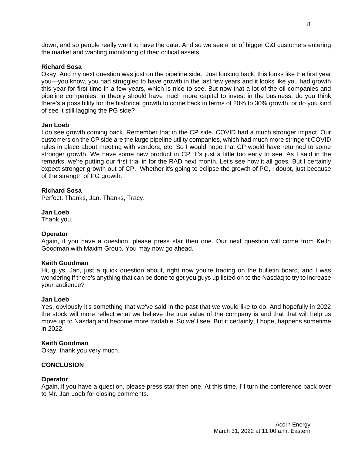down, and so people really want to have the data. And so we see a lot of bigger C&I customers entering the market and wanting monitoring of their critical assets.

#### **Richard Sosa**

Okay. And my next question was just on the pipeline side. Just looking back, this looks like the first year you—you know, you had struggled to have growth in the last few years and it looks like you had growth this year for first time in a few years, which is nice to see. But now that a lot of the oil companies and pipeline companies, in theory should have much more capital to invest in the business, do you think there's a possibility for the historical growth to come back in terms of 20% to 30% growth, or do you kind of see it still lagging the PG side?

#### **Jan Loeb**

I do see growth coming back. Remember that in the CP side, COVID had a much stronger impact. Our customers on the CP side are the large pipeline utility companies, which had much more stringent COVID rules in place about meeting with vendors, etc. So I would hope that CP would have returned to some stronger growth. We have some new product in CP. It's just a little too early to see. As I said in the remarks, we're putting our first trial in for the RAD next month. Let's see how it all goes. But I certainly expect stronger growth out of CP. Whether it's going to eclipse the growth of PG, I doubt, just because of the strength of PG growth.

#### **Richard Sosa**

Perfect. Thanks, Jan. Thanks, Tracy.

#### **Jan Loeb**

Thank you.

#### **Operator**

Again, if you have a question, please press star then one. Our next question will come from Keith Goodman with Maxim Group. You may now go ahead.

#### **Keith Goodman**

Hi, guys. Jan, just a quick question about, right now you're trading on the bulletin board, and I was wondering if there's anything that can be done to get you guys up listed on to the Nasdaq to try to increase your audience?

#### **Jan Loeb**

Yes, obviously it's something that we've said in the past that we would like to do. And hopefully in 2022 the stock will more reflect what we believe the true value of the company is and that that will help us move up to Nasdaq and become more tradable. So we'll see. But it certainly, I hope, happens sometime in 2022.

#### **Keith Goodman**

Okay, thank you very much.

#### **CONCLUSION**

#### **Operator**

Again, if you have a question, please press star then one. At this time, I'll turn the conference back over to Mr. Jan Loeb for closing comments.